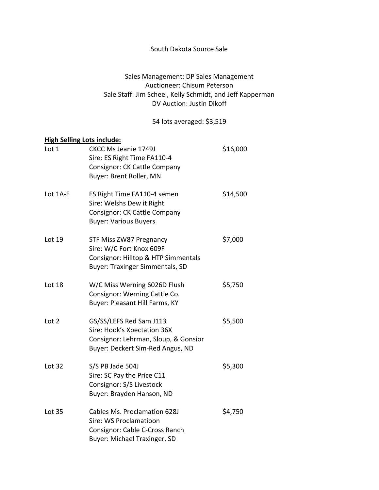## South Dakota Source Sale

## Sales Management: DP Sales Management Auctioneer: Chisum Peterson Sale Staff: Jim Scheel, Kelly Schmidt, and Jeff Kapperman DV Auction: Justin Dikoff

54 lots averaged: \$3,519

## High Selling Lots include:

| Lot 1         | <b>CKCC Ms Jeanie 1749J</b><br>Sire: ES Right Time FA110-4<br><b>Consignor: CK Cattle Company</b><br>Buyer: Brent Roller, MN         | \$16,000 |
|---------------|--------------------------------------------------------------------------------------------------------------------------------------|----------|
| Lot 1A-E      | ES Right Time FA110-4 semen<br>Sire: Welshs Dew it Right<br>Consignor: CK Cattle Company<br><b>Buyer: Various Buyers</b>             | \$14,500 |
| Lot 19        | STF Miss ZW87 Pregnancy<br>Sire: W/C Fort Knox 609F<br>Consignor: Hilltop & HTP Simmentals<br><b>Buyer: Traxinger Simmentals, SD</b> | \$7,000  |
| Lot 18        | W/C Miss Werning 6026D Flush<br>Consignor: Werning Cattle Co.<br>Buyer: Pleasant Hill Farms, KY                                      | \$5,750  |
| Lot 2         | GS/SS/LEFS Red Sam J113<br>Sire: Hook's Xpectation 36X<br>Consignor: Lehrman, Sloup, & Gonsior<br>Buyer: Deckert Sim-Red Angus, ND   | \$5,500  |
| Lot 32        | S/S PB Jade 504J<br>Sire: SC Pay the Price C11<br>Consignor: S/S Livestock<br>Buyer: Brayden Hanson, ND                              | \$5,300  |
| <b>Lot 35</b> | Cables Ms. Proclamation 628J<br>Sire: WS Proclamatioon<br>Consignor: Cable C-Cross Ranch<br>Buyer: Michael Traxinger, SD             | \$4,750  |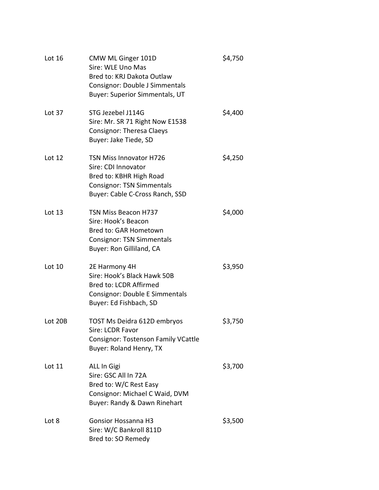| Lot 16   | CMW ML Ginger 101D<br>Sire: WLE Uno Mas<br>Bred to: KRJ Dakota Outlaw<br>Consignor: Double J Simmentals<br>Buyer: Superior Simmentals, UT               | \$4,750 |
|----------|---------------------------------------------------------------------------------------------------------------------------------------------------------|---------|
| Lot 37   | STG Jezebel J114G<br>Sire: Mr. SR 71 Right Now E1538<br><b>Consignor: Theresa Claeys</b><br>Buyer: Jake Tiede, SD                                       | \$4,400 |
| Lot $12$ | <b>TSN Miss Innovator H726</b><br>Sire: CDI Innovator<br>Bred to: KBHR High Road<br><b>Consignor: TSN Simmentals</b><br>Buyer: Cable C-Cross Ranch, SSD | \$4,250 |
| Lot 13   | <b>TSN Miss Beacon H737</b><br>Sire: Hook's Beacon<br>Bred to: GAR Hometown<br><b>Consignor: TSN Simmentals</b><br>Buyer: Ron Gilliland, CA             | \$4,000 |
| Lot 10   | 2E Harmony 4H<br>Sire: Hook's Black Hawk 50B<br>Bred to: LCDR Affirmed<br>Consignor: Double E Simmentals<br>Buyer: Ed Fishbach, SD                      | \$3,950 |
| Lot 20B  | TOST Ms Deidra 612D embryos<br>Sire: LCDR Favor<br><b>Consignor: Tostenson Family VCattle</b><br>Buyer: Roland Henry, TX                                | \$3,750 |
| Lot 11   | ALL In Gigi<br>Sire: GSC All In 72A<br>Bred to: W/C Rest Easy<br>Consignor: Michael C Waid, DVM<br>Buyer: Randy & Dawn Rinehart                         | \$3,700 |
| Lot 8    | <b>Gonsior Hossanna H3</b><br>Sire: W/C Bankroll 811D<br>Bred to: SO Remedy                                                                             | \$3,500 |